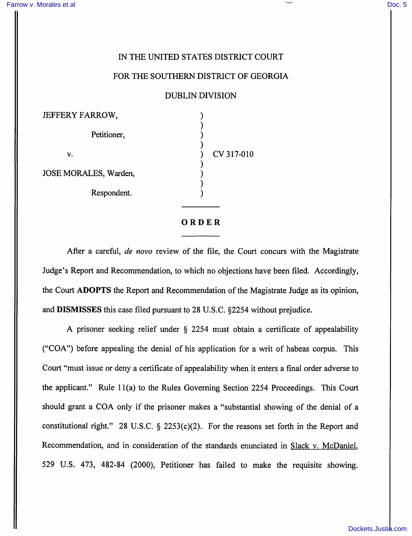## IN THE UNITED STATES DISTRICT COURT

## FOR THE SOUTHERN DISTRICT OF GEORGIA

## DUBLIN DIVISION

| <b>JEFFERY FARROW,</b> |            |
|------------------------|------------|
| Petitioner,            |            |
|                        |            |
| v.                     | CV 317-010 |
| JOSE MORALES, Warden,  |            |
| Respondent.            |            |
|                        |            |

ORDER

After a careful, de novo review of the file, the Court concurs with the Magistrate Judge's Report and Recommendation, to which no objections have been filed. Accordingly, the Court ADOPTS the Report and Recommendation of the Magistrate Judge as its opinion, and DISMISSES this case filed pursuant to 28 U.S.C. §2254 without prejudice.

A prisoner seeking relief under § 2254 must obtain a certificate of appealability ("COA") before appealing the denial of his application for a writ of habeas corpus. This Court "must issue or deny a certificate of appealability when it enters a final order adverse to the applicant." Rule 11(a) to the Rules Governing Section 2254 Proceedings. This Court should grant a COA only if the prisoner makes a "substantial showing of the denial of a constitutional right." 28 U.S.C.  $\S$  2253(c)(2). For the reasons set forth in the Report and Recommendation, and in consideration of the standards enunciated in Slack v. McDaniel, 529 U.S. 473, 482-84 (2000), Petitioner has failed to make the requisite showing.